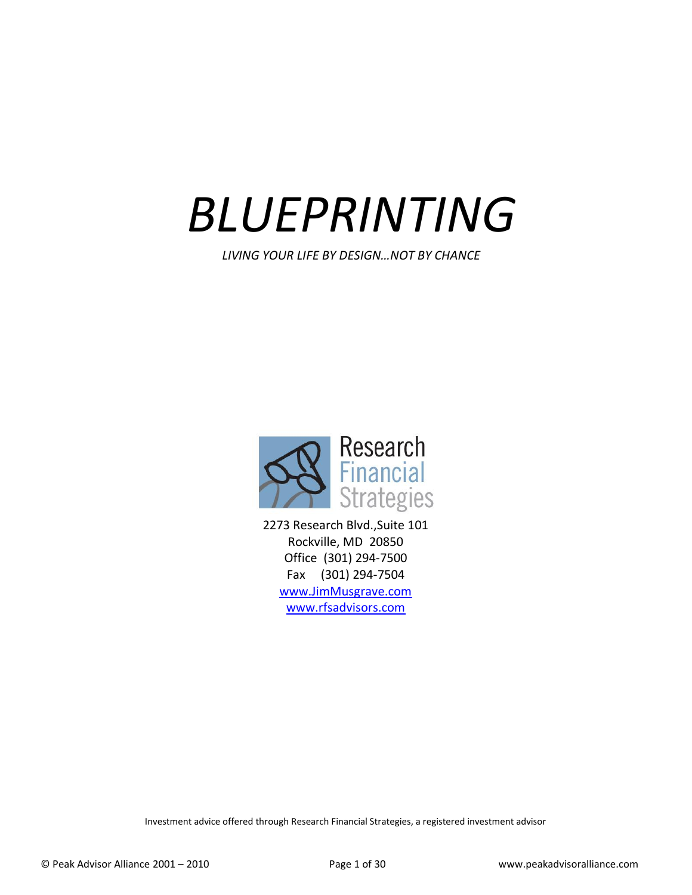# *BLUEPRINTING*

*LIVING YOUR LIFE BY DESIGN…NOT BY CHANCE*



2273 Research Blvd.,Suite 101 Rockville, MD 20850 Office (301) 294-7500 Fax (301) 294-7504 www.JimMusgrave.com www.rfsadvisors.com

Investment advice offered through Research Financial Strategies, a registered investment advisor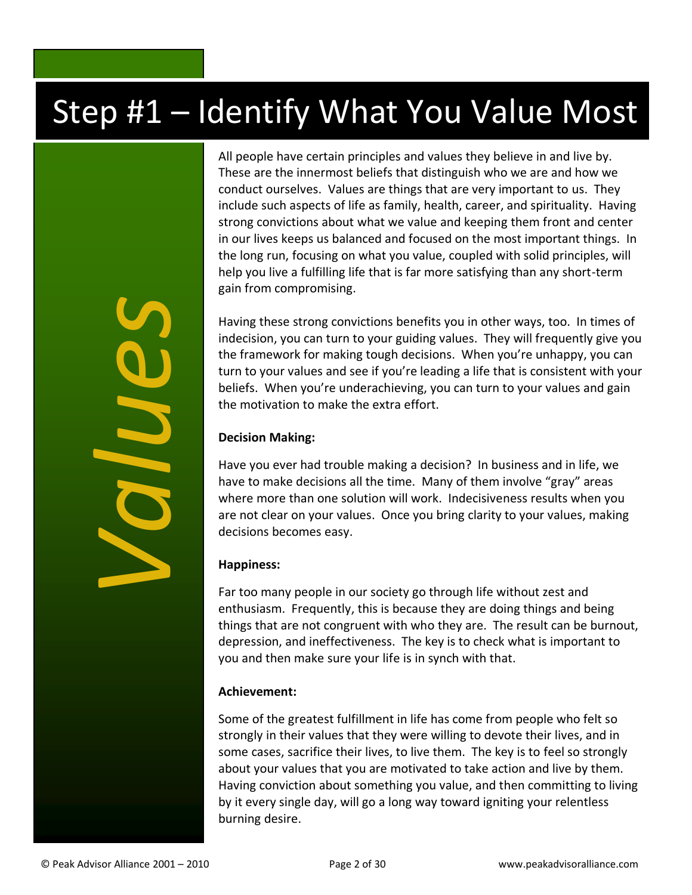## Step #1 – Identify What You Value Most

All people have certain principles and values they believe in and live by. These are the innermost beliefs that distinguish who we are and how we conduct ourselves. Values are things that are very important to us. They include such aspects of life as family, health, career, and spirituality. Having strong convictions about what we value and keeping them front and center in our lives keeps us balanced and focused on the most important things. In the long run, focusing on what you value, coupled with solid principles, will help you live a fulfilling life that is far more satisfying than any short-term gain from compromising.

Having these strong convictions benefits you in other ways, too. In times of indecision, you can turn to your guiding values. They will frequently give you the framework for making tough decisions. When you're unhappy, you can turn to your values and see if you're leading a life that is consistent with your beliefs. When you're underachieving, you can turn to your values and gain the motivation to make the extra effort.

#### **Decision Making:**

Have you ever had trouble making a decision? In business and in life, we have to make decisions all the time. Many of them involve "gray" areas where more than one solution will work. Indecisiveness results when you are not clear on your values. Once you bring clarity to your values, making decisions becomes easy.

#### **Happiness:**

Far too many people in our society go through life without zest and enthusiasm. Frequently, this is because they are doing things and being things that are not congruent with who they are. The result can be burnout, depression, and ineffectiveness. The key is to check what is important to you and then make sure your life is in synch with that.

#### **Achievement:**

Some of the greatest fulfillment in life has come from people who felt so strongly in their values that they were willing to devote their lives, and in some cases, sacrifice their lives, to live them. The key is to feel so strongly about your values that you are motivated to take action and live by them. Having conviction about something you value, and then committing to living by it every single day, will go a long way toward igniting your relentless burning desire.

*Values*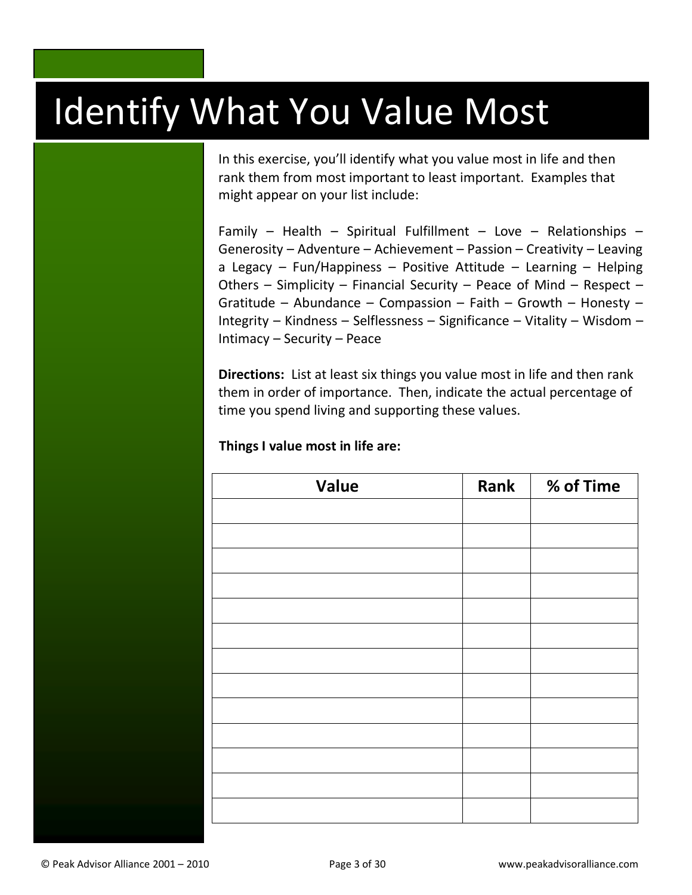# Identify What You Value Most

In this exercise, you'll identify what you value most in life and then rank them from most important to least important. Examples that might appear on your list include:

Family – Health – Spiritual Fulfillment – Love – Relationships – Generosity – Adventure – Achievement – Passion – Creativity – Leaving a Legacy – Fun/Happiness – Positive Attitude – Learning – Helping Others – Simplicity – Financial Security – Peace of Mind – Respect – Gratitude – Abundance – Compassion – Faith – Growth – Honesty – Integrity – Kindness – Selflessness – Significance – Vitality – Wisdom – Intimacy – Security – Peace

**Directions:** List at least six things you value most in life and then rank them in order of importance. Then, indicate the actual percentage of time you spend living and supporting these values.

#### **Things I value most in life are:**

| Value | Rank | % of Time |
|-------|------|-----------|
|       |      |           |
|       |      |           |
|       |      |           |
|       |      |           |
|       |      |           |
|       |      |           |
|       |      |           |
|       |      |           |
|       |      |           |
|       |      |           |
|       |      |           |
|       |      |           |
|       |      |           |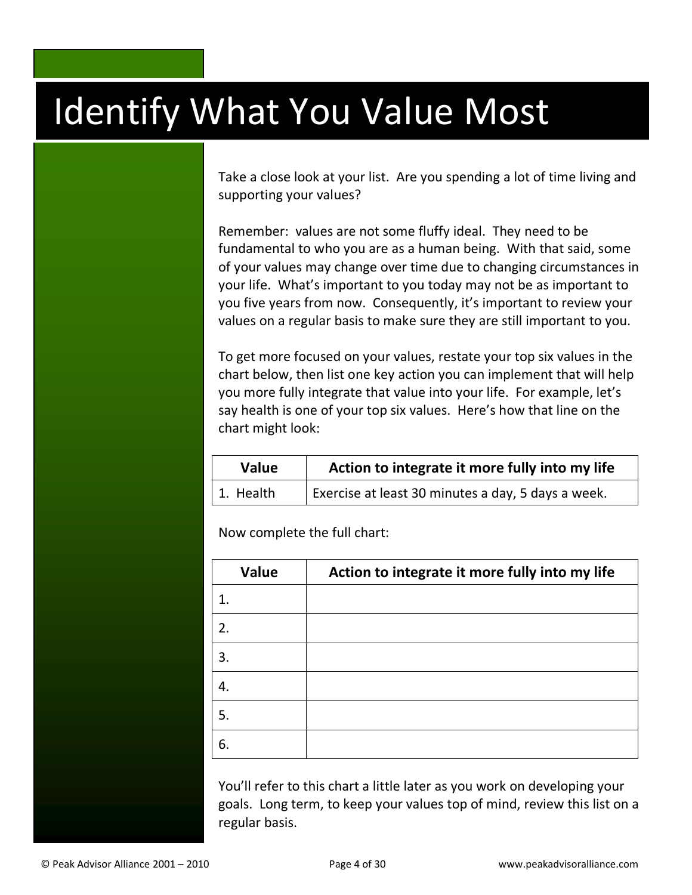# Identify What You Value Most

Take a close look at your list. Are you spending a lot of time living and supporting your values?

Remember: values are not some fluffy ideal. They need to be fundamental to who you are as a human being. With that said, some of your values may change over time due to changing circumstances in your life. What's important to you today may not be as important to you five years from now. Consequently, it's important to review your values on a regular basis to make sure they are still important to you.

To get more focused on your values, restate your top six values in the chart below, then list one key action you can implement that will help you more fully integrate that value into your life. For example, let's say health is one of your top six values. Here's how that line on the chart might look:

| Value     | Action to integrate it more fully into my life     |
|-----------|----------------------------------------------------|
| 1. Health | Exercise at least 30 minutes a day, 5 days a week. |

Now complete the full chart:

| Value | Action to integrate it more fully into my life |
|-------|------------------------------------------------|
| 1.    |                                                |
| 2.    |                                                |
| 3.    |                                                |
| 4.    |                                                |
| 5.    |                                                |
| 6.    |                                                |

You'll refer to this chart a little later as you work on developing your goals. Long term, to keep your values top of mind, review this list on a regular basis.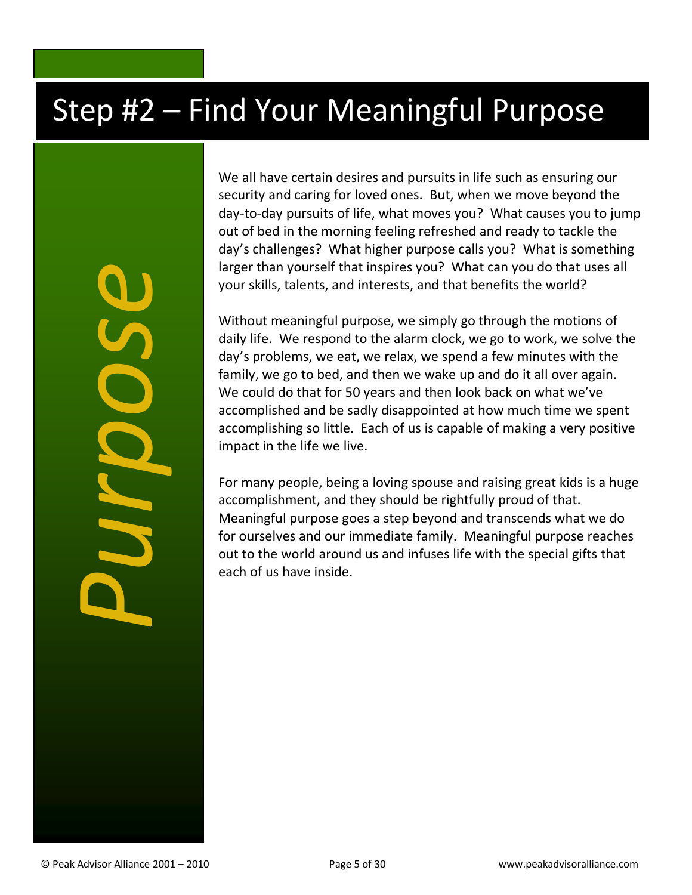### Step #2 – Find Your Meaningful Purpose

*Purpose*

We all have certain desires and pursuits in life such as ensuring our security and caring for loved ones. But, when we move beyond the day-to-day pursuits of life, what moves you? What causes you to jump out of bed in the morning feeling refreshed and ready to tackle the day's challenges? What higher purpose calls you? What is something larger than yourself that inspires you? What can you do that uses all your skills, talents, and interests, and that benefits the world?

Without meaningful purpose, we simply go through the motions of daily life. We respond to the alarm clock, we go to work, we solve the day's problems, we eat, we relax, we spend a few minutes with the family, we go to bed, and then we wake up and do it all over again. We could do that for 50 years and then look back on what we've accomplished and be sadly disappointed at how much time we spent accomplishing so little. Each of us is capable of making a very positive impact in the life we live.

For many people, being a loving spouse and raising great kids is a huge accomplishment, and they should be rightfully proud of that. Meaningful purpose goes a step beyond and transcends what we do for ourselves and our immediate family. Meaningful purpose reaches out to the world around us and infuses life with the special gifts that each of us have inside.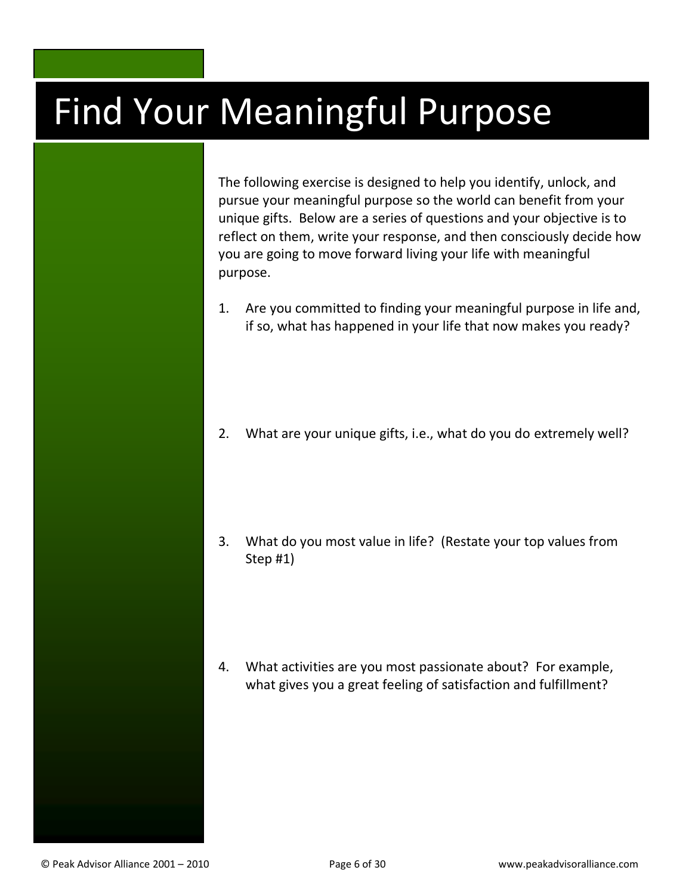The following exercise is designed to help you identify, unlock, and pursue your meaningful purpose so the world can benefit from your unique gifts. Below are a series of questions and your objective is to reflect on them, write your response, and then consciously decide how you are going to move forward living your life with meaningful purpose.

1. Are you committed to finding your meaningful purpose in life and, if so, what has happened in your life that now makes you ready?

2. What are your unique gifts, i.e., what do you do extremely well?

3. What do you most value in life? (Restate your top values from Step #1)

4. What activities are you most passionate about? For example, what gives you a great feeling of satisfaction and fulfillment?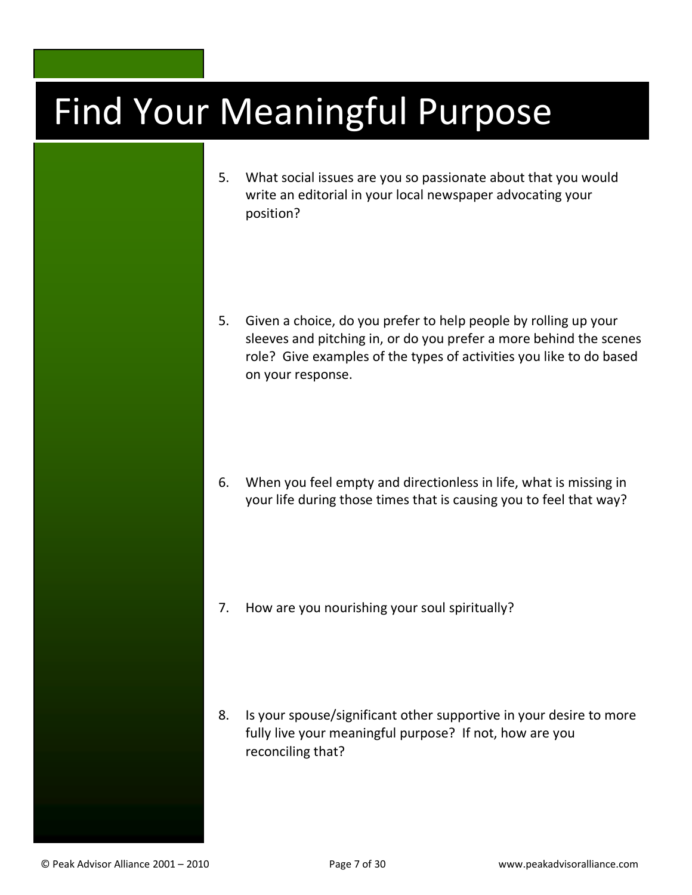5. What social issues are you so passionate about that you would write an editorial in your local newspaper advocating your position?

5. Given a choice, do you prefer to help people by rolling up your sleeves and pitching in, or do you prefer a more behind the scenes role? Give examples of the types of activities you like to do based on your response.

6. When you feel empty and directionless in life, what is missing in your life during those times that is causing you to feel that way?

7. How are you nourishing your soul spiritually?

8. Is your spouse/significant other supportive in your desire to more fully live your meaningful purpose? If not, how are you reconciling that?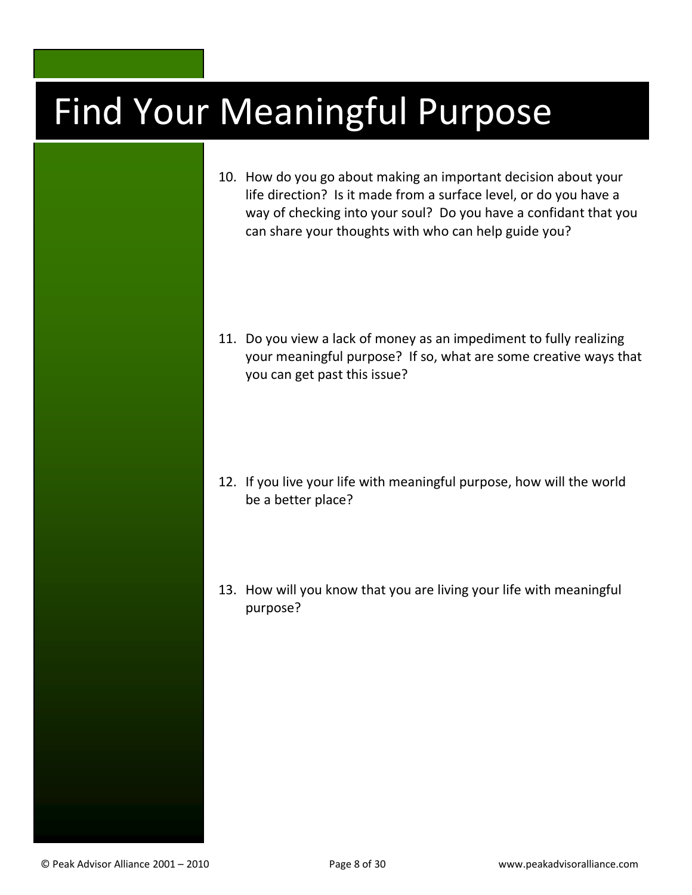10. How do you go about making an important decision about your life direction? Is it made from a surface level, or do you have a way of checking into your soul? Do you have a confidant that you can share your thoughts with who can help guide you?

11. Do you view a lack of money as an impediment to fully realizing your meaningful purpose? If so, what are some creative ways that you can get past this issue?

- 12. If you live your life with meaningful purpose, how will the world be a better place?
- 13. How will you know that you are living your life with meaningful purpose?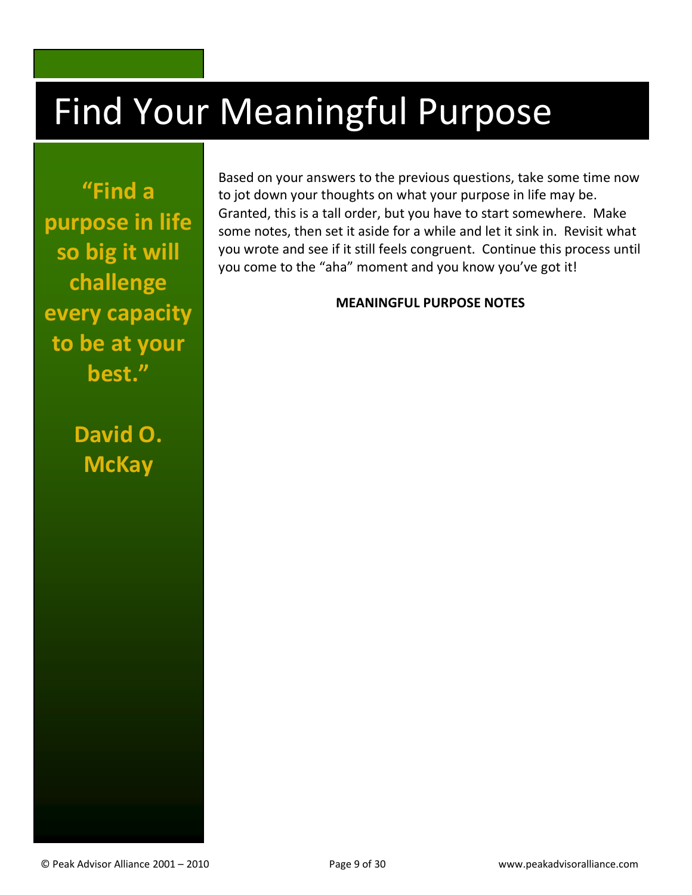**"Find a purpose in life so big it will challenge every capacity to be at your best."**

> **David O. McKay**

Based on your answers to the previous questions, take some time now to jot down your thoughts on what your purpose in life may be. Granted, this is a tall order, but you have to start somewhere. Make some notes, then set it aside for a while and let it sink in. Revisit what you wrote and see if it still feels congruent. Continue this process until you come to the "aha" moment and you know you've got it!

#### **MEANINGFUL PURPOSE NOTES**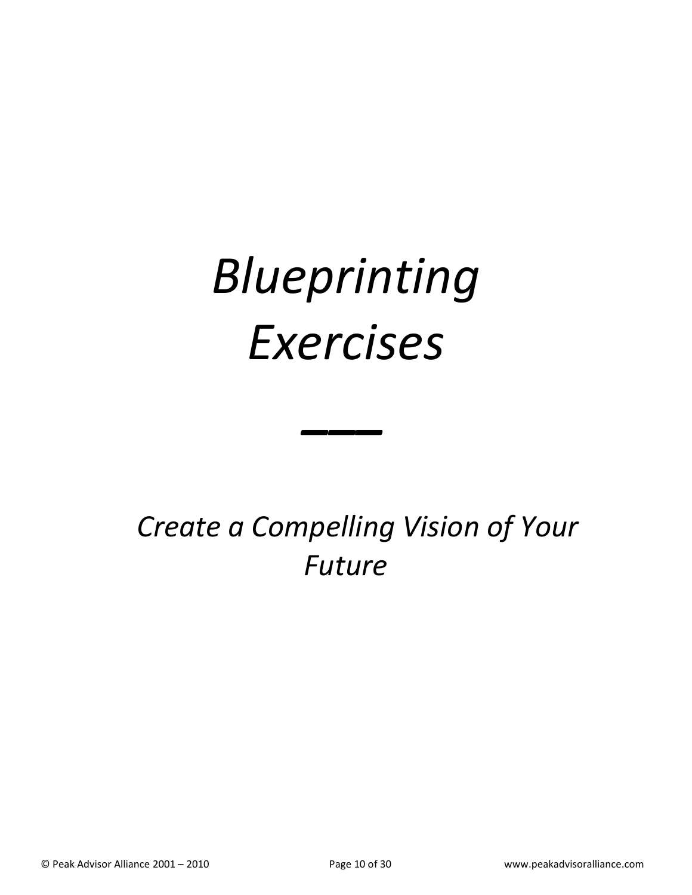# *Blueprinting Exercises*

*\_\_\_*

 *Create a Compelling Vision of Your Future*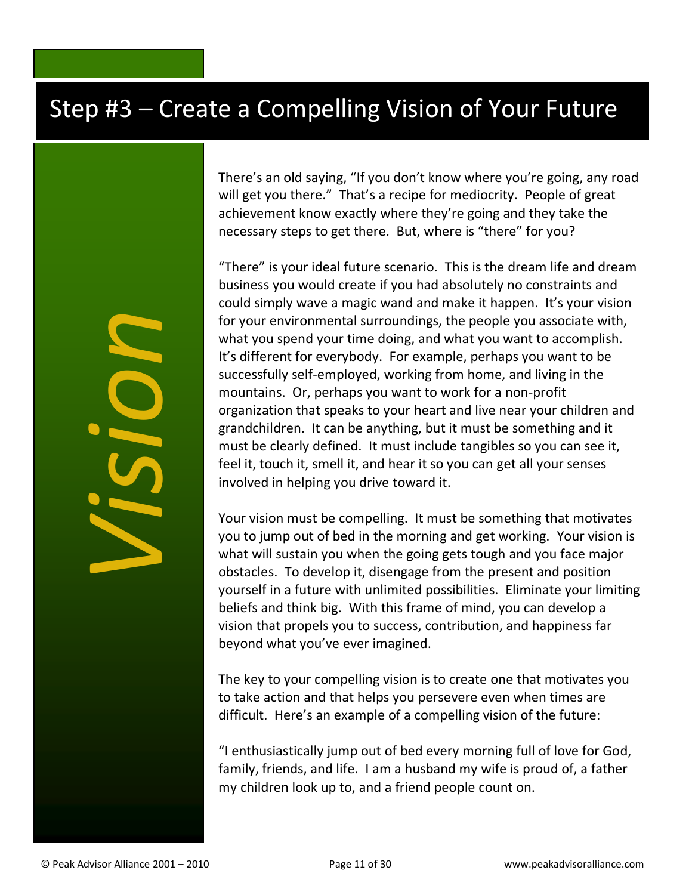#### Step #3 – Create a Compelling Vision of Your Future

*Vision*

There's an old saying, "If you don't know where you're going, any road will get you there." That's a recipe for mediocrity. People of great achievement know exactly where they're going and they take the necessary steps to get there. But, where is "there" for you?

"There" is your ideal future scenario. This is the dream life and dream business you would create if you had absolutely no constraints and could simply wave a magic wand and make it happen. It's your vision for your environmental surroundings, the people you associate with, what you spend your time doing, and what you want to accomplish. It's different for everybody. For example, perhaps you want to be successfully self-employed, working from home, and living in the mountains. Or, perhaps you want to work for a non-profit organization that speaks to your heart and live near your children and grandchildren. It can be anything, but it must be something and it must be clearly defined. It must include tangibles so you can see it, feel it, touch it, smell it, and hear it so you can get all your senses involved in helping you drive toward it.

Your vision must be compelling. It must be something that motivates you to jump out of bed in the morning and get working. Your vision is what will sustain you when the going gets tough and you face major obstacles. To develop it, disengage from the present and position yourself in a future with unlimited possibilities. Eliminate your limiting beliefs and think big. With this frame of mind, you can develop a vision that propels you to success, contribution, and happiness far beyond what you've ever imagined.

The key to your compelling vision is to create one that motivates you to take action and that helps you persevere even when times are difficult. Here's an example of a compelling vision of the future:

"I enthusiastically jump out of bed every morning full of love for God, family, friends, and life. I am a husband my wife is proud of, a father my children look up to, and a friend people count on.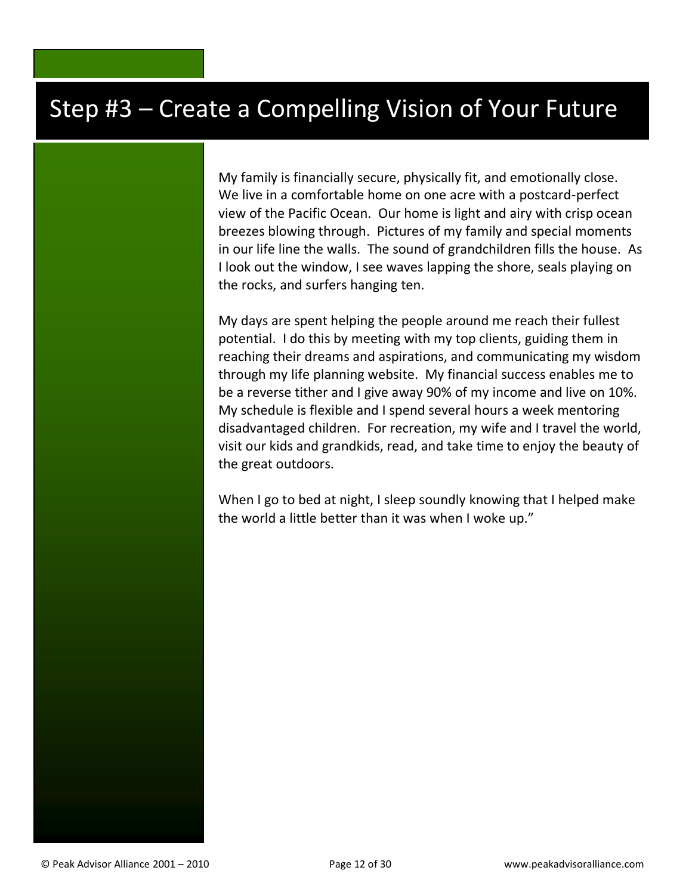#### Step #3 – Create a Compelling Vision of Your Future

My family is financially secure, physically fit, and emotionally close. We live in a comfortable home on one acre with a postcard-perfect view of the Pacific Ocean. Our home is light and airy with crisp ocean breezes blowing through. Pictures of my family and special moments in our life line the walls. The sound of grandchildren fills the house. As I look out the window, I see waves lapping the shore, seals playing on the rocks, and surfers hanging ten.

My days are spent helping the people around me reach their fullest potential. I do this by meeting with my top clients, guiding them in reaching their dreams and aspirations, and communicating my wisdom through my life planning website. My financial success enables me to be a reverse tither and I give away 90% of my income and live on 10%. My schedule is flexible and I spend several hours a week mentoring disadvantaged children. For recreation, my wife and I travel the world, visit our kids and grandkids, read, and take time to enjoy the beauty of the great outdoors.

When I go to bed at night, I sleep soundly knowing that I helped make the world a little better than it was when I woke up."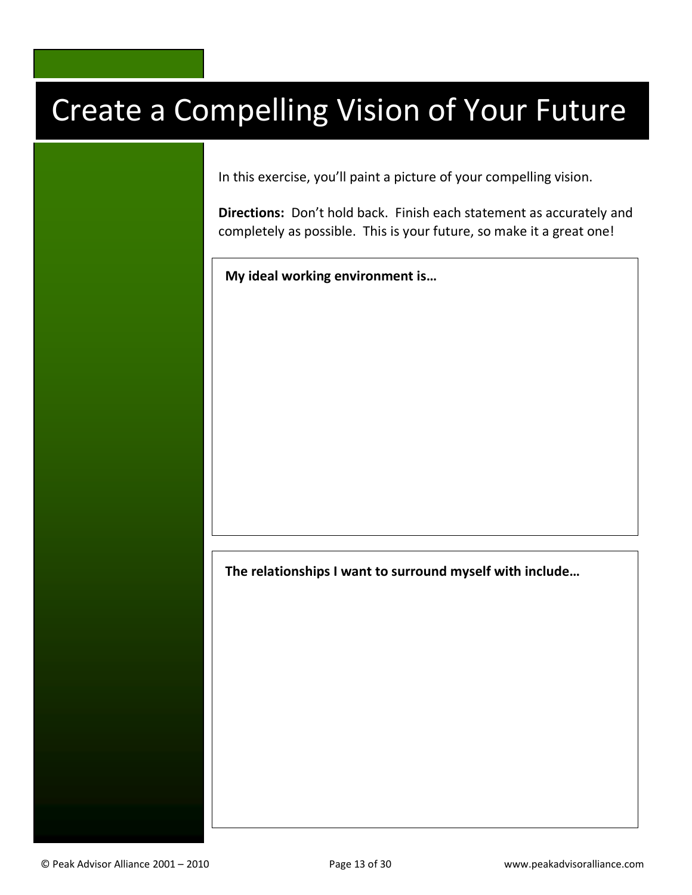In this exercise, you'll paint a picture of your compelling vision.

**Directions:** Don't hold back. Finish each statement as accurately and completely as possible. This is your future, so make it a great one!

**My ideal working environment is…**

**The relationships I want to surround myself with include…**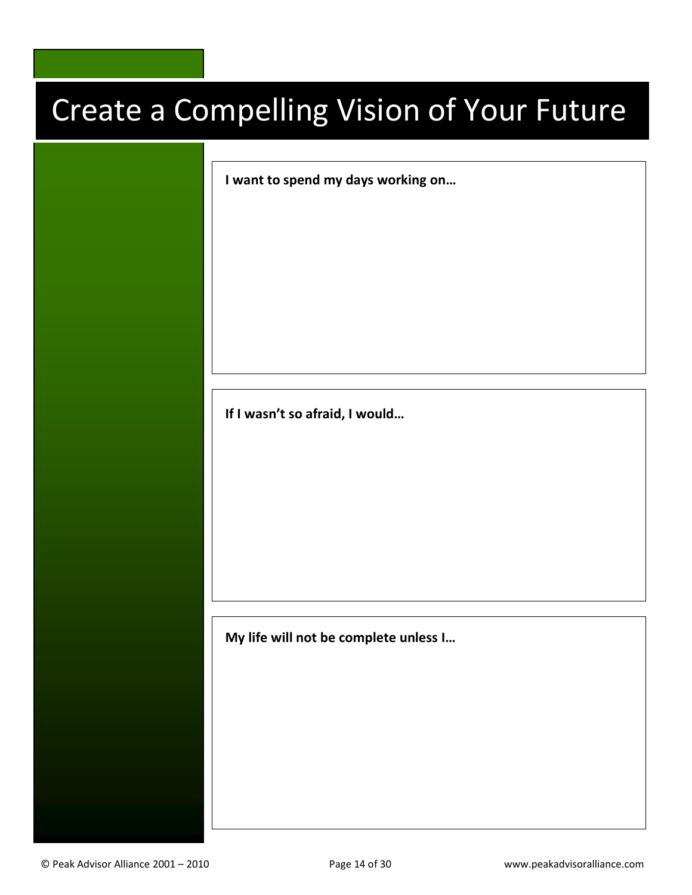**I want to spend my days working on…**

**If I wasn't so afraid, I would…**

**My life will not be complete unless I…**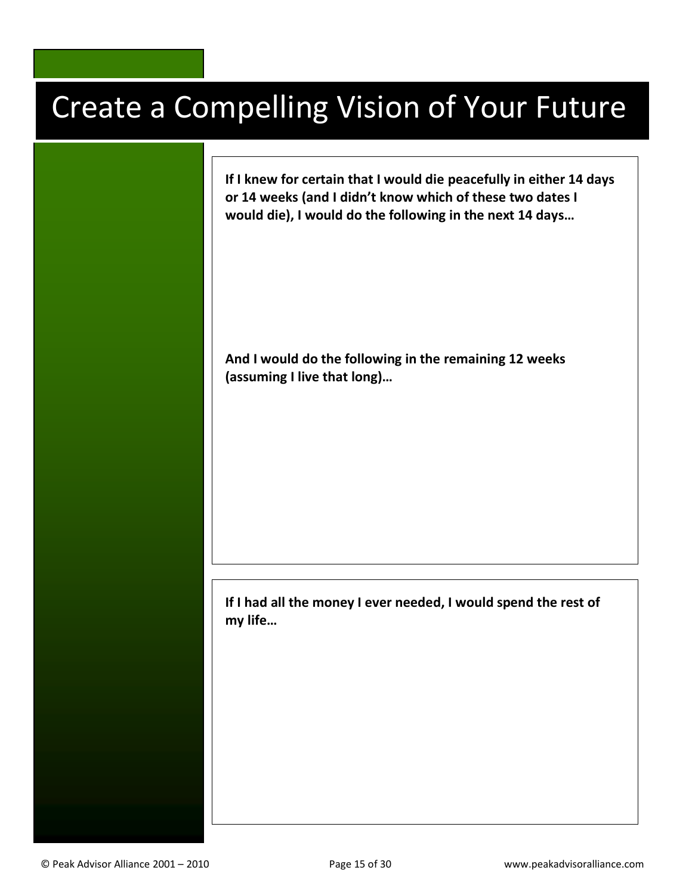**If I knew for certain that I would die peacefully in either 14 days or 14 weeks (and I didn't know which of these two dates I would die), I would do the following in the next 14 days…**

**And I would do the following in the remaining 12 weeks (assuming I live that long)…**

**If I had all the money I ever needed, I would spend the rest of my life…**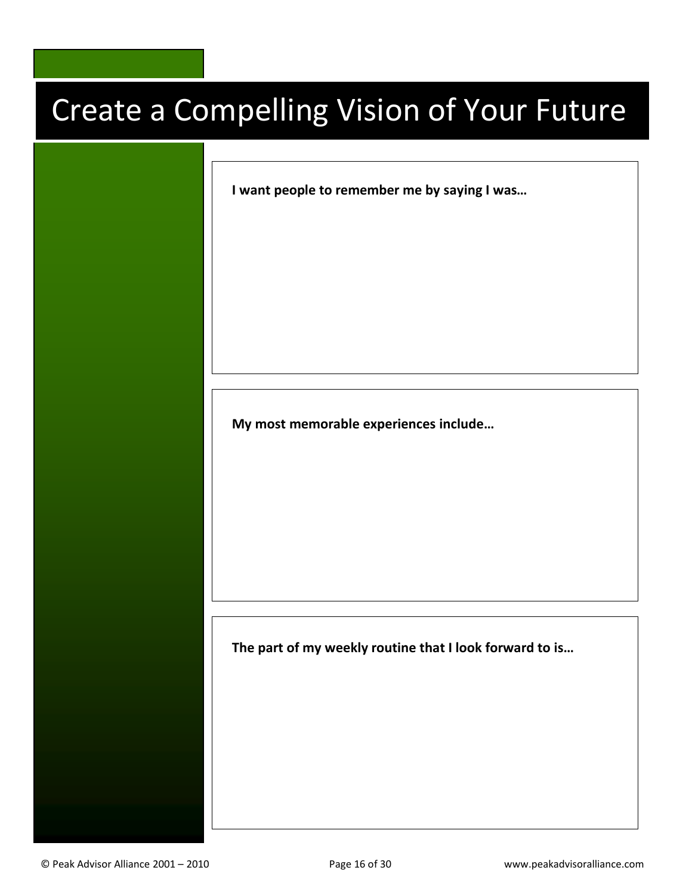**I want people to remember me by saying I was…**

**My most memorable experiences include…**

**The part of my weekly routine that I look forward to is…**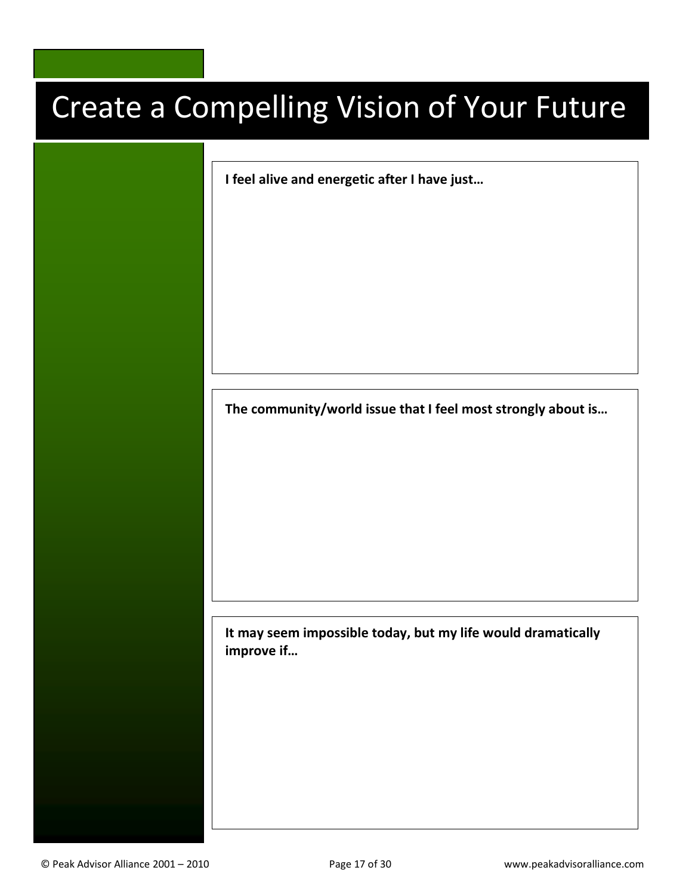**I feel alive and energetic after I have just…**

**The community/world issue that I feel most strongly about is…**

**It may seem impossible today, but my life would dramatically improve if…**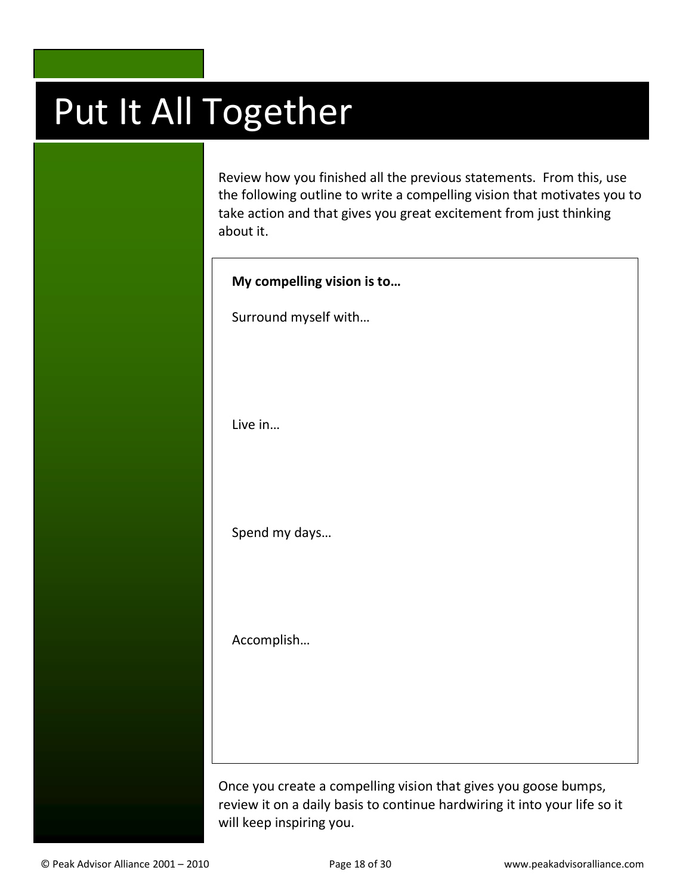# Put It All Together

Review how you finished all the previous statements. From this, use the following outline to write a compelling vision that motivates you to take action and that gives you great excitement from just thinking about it.

| My compelling vision is to |
|----------------------------|
| Surround myself with       |
| Live in                    |
| Spend my days              |
| Accomplish                 |
|                            |

Once you create a compelling vision that gives you goose bumps, review it on a daily basis to continue hardwiring it into your life so it will keep inspiring you.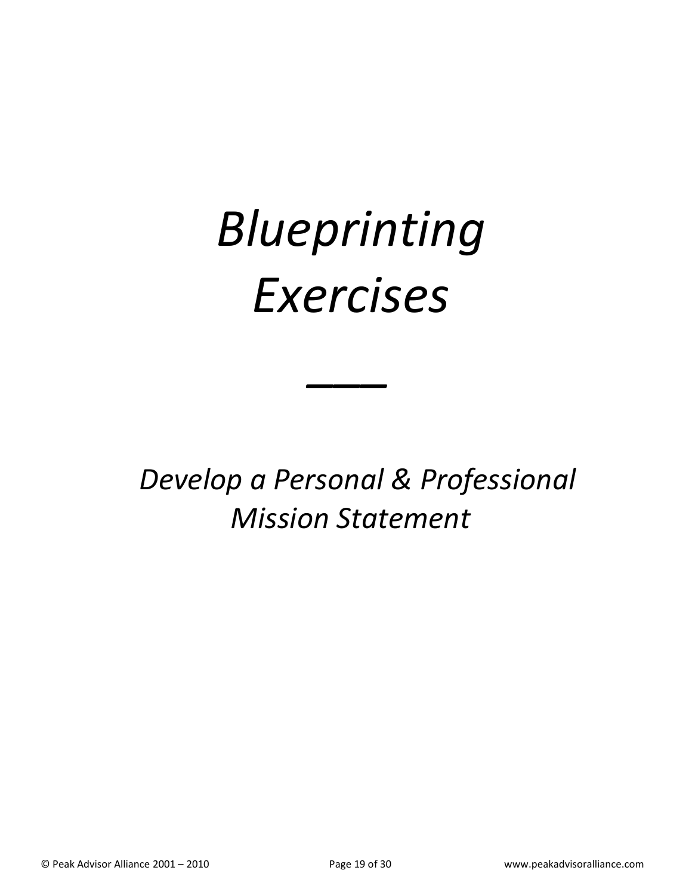# *Blueprinting Exercises*

*\_\_\_*

 *Develop a Personal & Professional Mission Statement*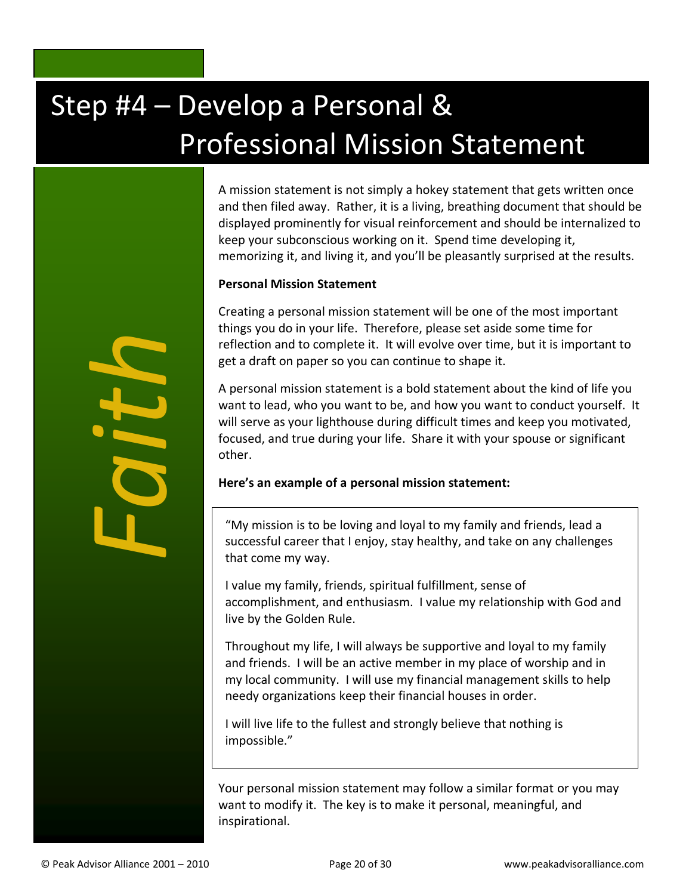### Step #4 – Develop a Personal & Professional Mission Statement

A mission statement is not simply a hokey statement that gets written once and then filed away. Rather, it is a living, breathing document that should be displayed prominently for visual reinforcement and should be internalized to keep your subconscious working on it. Spend time developing it, memorizing it, and living it, and you'll be pleasantly surprised at the results.

#### **Personal Mission Statement**

Creating a personal mission statement will be one of the most important things you do in your life. Therefore, please set aside some time for reflection and to complete it. It will evolve over time, but it is important to get a draft on paper so you can continue to shape it.

A personal mission statement is a bold statement about the kind of life you want to lead, who you want to be, and how you want to conduct yourself. It will serve as your lighthouse during difficult times and keep you motivated, focused, and true during your life. Share it with your spouse or significant other.

#### **Here's an example of a personal mission statement:**

"My mission is to be loving and loyal to my family and friends, lead a successful career that I enjoy, stay healthy, and take on any challenges that come my way.

I value my family, friends, spiritual fulfillment, sense of accomplishment, and enthusiasm. I value my relationship with God and live by the Golden Rule.

Throughout my life, I will always be supportive and loyal to my family and friends. I will be an active member in my place of worship and in my local community. I will use my financial management skills to help needy organizations keep their financial houses in order.

I will live life to the fullest and strongly believe that nothing is impossible."

Your personal mission statement may follow a similar format or you may want to modify it. The key is to make it personal, meaningful, and inspirational.

*Faith*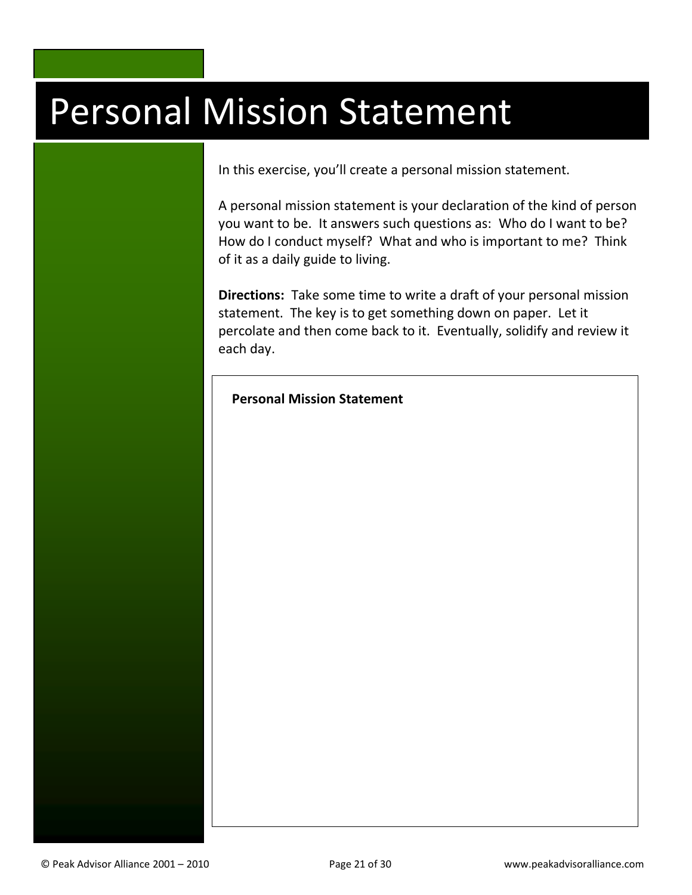# Personal Mission Statement

In this exercise, you'll create a personal mission statement.

A personal mission statement is your declaration of the kind of person you want to be. It answers such questions as: Who do I want to be? How do I conduct myself? What and who is important to me? Think of it as a daily guide to living.

**Directions:** Take some time to write a draft of your personal mission statement. The key is to get something down on paper. Let it percolate and then come back to it. Eventually, solidify and review it each day.

**Personal Mission Statement**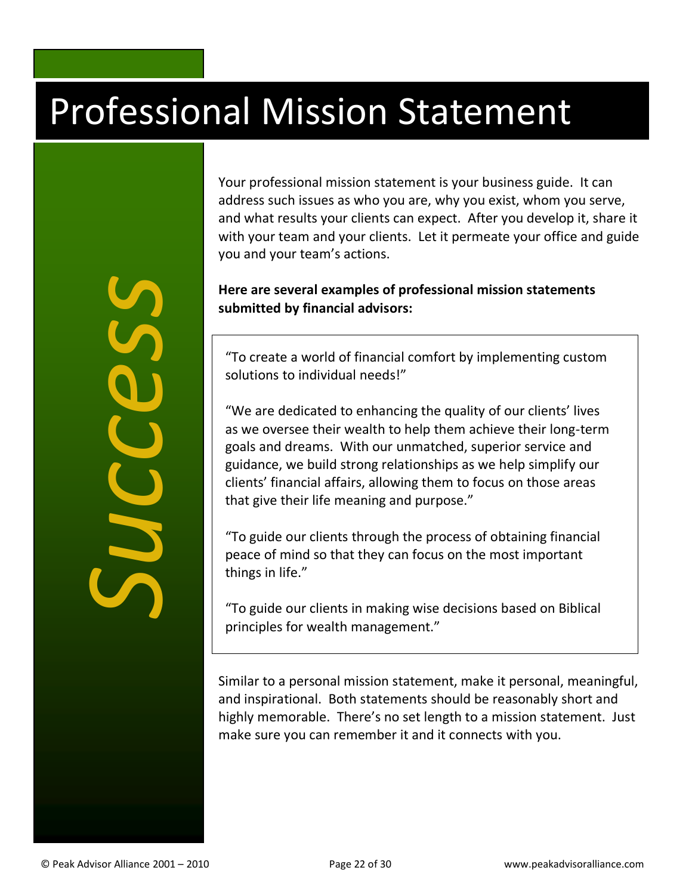# Professional Mission Statement

Your professional mission statement is your business guide. It can address such issues as who you are, why you exist, whom you serve, and what results your clients can expect. After you develop it, share it with your team and your clients. Let it permeate your office and guide you and your team's actions.

**Here are several examples of professional mission statements submitted by financial advisors:**

"To create a world of financial comfort by implementing custom solutions to individual needs!"

Here are several examples of professional mission statements<br>
submitted by financial advisors:<br>
"To create a world of financial comfort by implementing custom<br>
solutions to individual needs!"<br>
"We are dedicated to enhancin "We are dedicated to enhancing the quality of our clients' lives as we oversee their wealth to help them achieve their long-term goals and dreams. With our unmatched, superior service and guidance, we build strong relationships as we help simplify our clients' financial affairs, allowing them to focus on those areas that give their life meaning and purpose."

"To guide our clients through the process of obtaining financial peace of mind so that they can focus on the most important things in life."

"To guide our clients in making wise decisions based on Biblical principles for wealth management."

Similar to a personal mission statement, make it personal, meaningful, and inspirational. Both statements should be reasonably short and highly memorable. There's no set length to a mission statement. Just make sure you can remember it and it connects with you.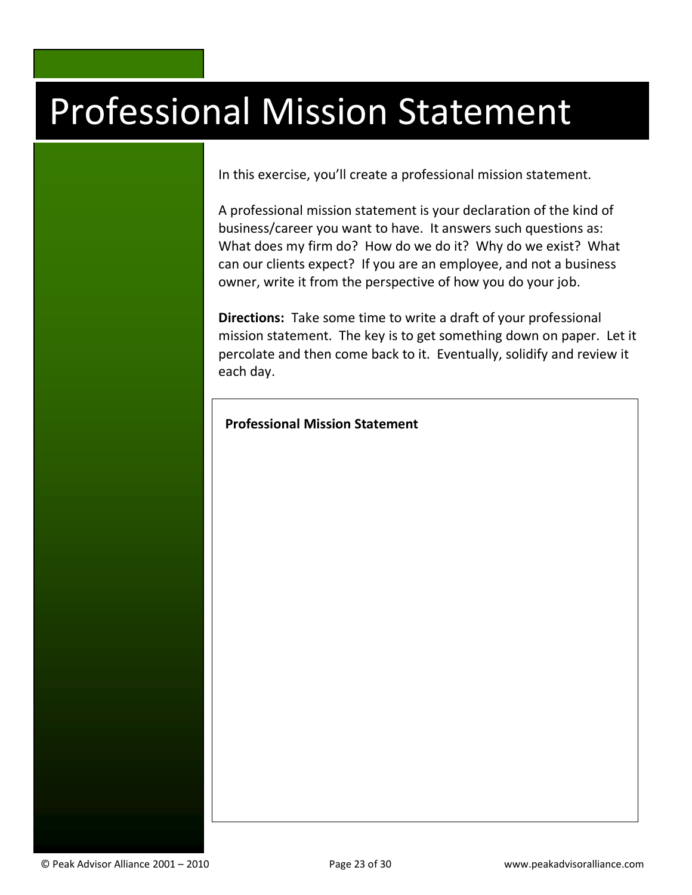# Professional Mission Statement

In this exercise, you'll create a professional mission statement.

A professional mission statement is your declaration of the kind of business/career you want to have. It answers such questions as: What does my firm do? How do we do it? Why do we exist? What can our clients expect? If you are an employee, and not a business owner, write it from the perspective of how you do your job.

**Directions:** Take some time to write a draft of your professional mission statement. The key is to get something down on paper. Let it percolate and then come back to it. Eventually, solidify and review it each day.

#### **Professional Mission Statement**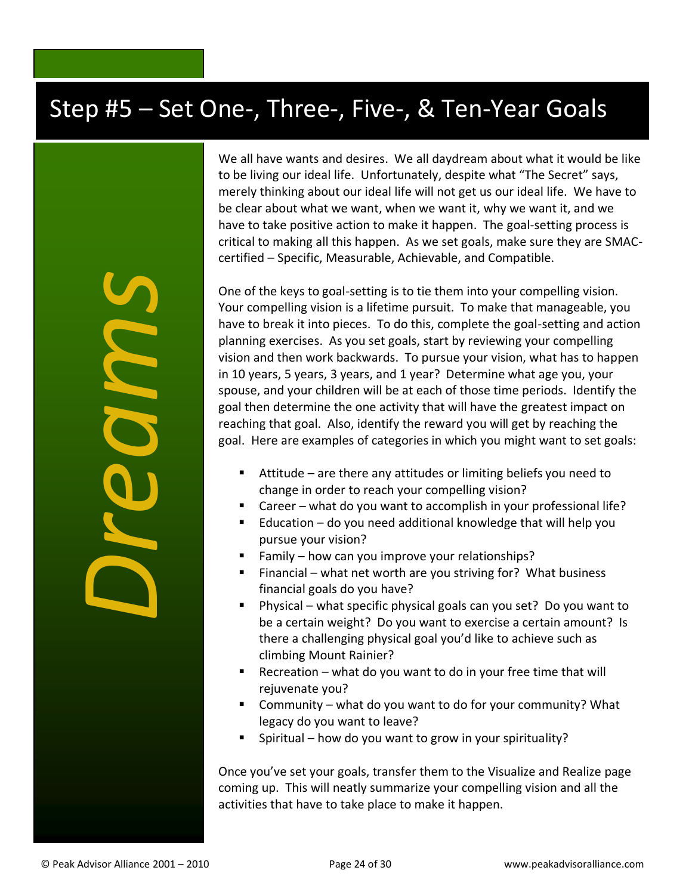### Step #5 – Set One-, Three-, Five-, & Ten-Year Goals

*Dreams*

We all have wants and desires. We all daydream about what it would be like to be living our ideal life. Unfortunately, despite what "The Secret" says, merely thinking about our ideal life will not get us our ideal life. We have to be clear about what we want, when we want it, why we want it, and we have to take positive action to make it happen. The goal-setting process is critical to making all this happen. As we set goals, make sure they are SMACcertified – Specific, Measurable, Achievable, and Compatible.

One of the keys to goal-setting is to tie them into your compelling vision. Your compelling vision is a lifetime pursuit. To make that manageable, you have to break it into pieces. To do this, complete the goal-setting and action planning exercises. As you set goals, start by reviewing your compelling vision and then work backwards. To pursue your vision, what has to happen in 10 years, 5 years, 3 years, and 1 year? Determine what age you, your spouse, and your children will be at each of those time periods. Identify the goal then determine the one activity that will have the greatest impact on reaching that goal. Also, identify the reward you will get by reaching the goal. Here are examples of categories in which you might want to set goals:

- Attitude are there any attitudes or limiting beliefs you need to change in order to reach your compelling vision?
- Career what do you want to accomplish in your professional life?
- $Eductation do$  you need additional knowledge that will help you pursue your vision?
- Family how can you improve your relationships?
- Financial what net worth are you striving for? What business financial goals do you have?
- Physical what specific physical goals can you set? Do you want to be a certain weight? Do you want to exercise a certain amount? Is there a challenging physical goal you'd like to achieve such as climbing Mount Rainier?
- $Rercation what do you want to do in your free time that will$ rejuvenate you?
- Community what do you want to do for your community? What legacy do you want to leave?
- Spiritual how do you want to grow in your spirituality?

Once you've set your goals, transfer them to the Visualize and Realize page coming up. This will neatly summarize your compelling vision and all the activities that have to take place to make it happen.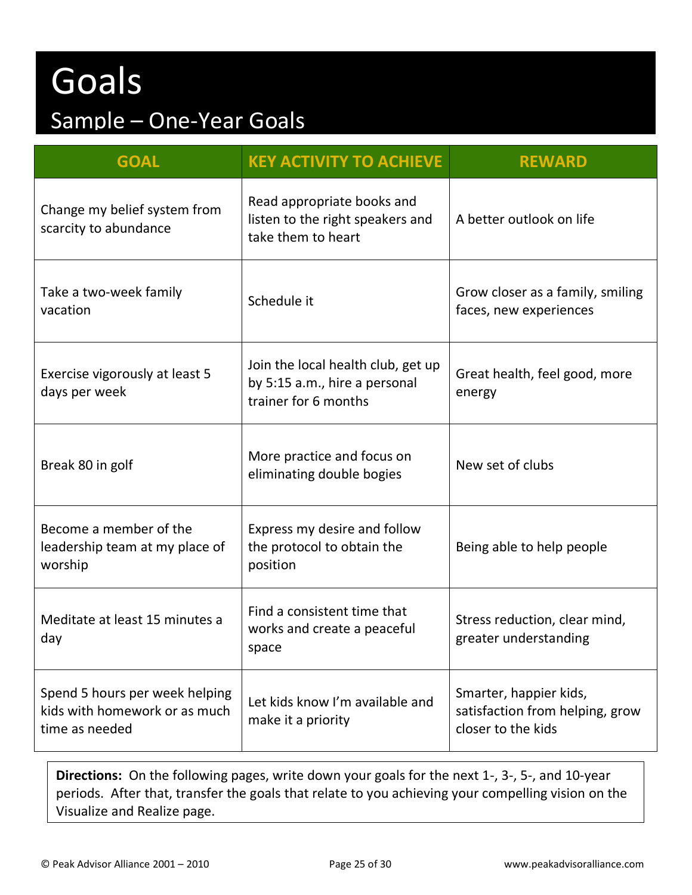## Goals

#### Sample – One-Year Goals

| <b>GOAL</b>                                                                       | <b>KEY ACTIVITY TO ACHIEVE</b>                                                              | <b>REWARD</b>                                                                   |
|-----------------------------------------------------------------------------------|---------------------------------------------------------------------------------------------|---------------------------------------------------------------------------------|
| Change my belief system from<br>scarcity to abundance                             | Read appropriate books and<br>listen to the right speakers and<br>take them to heart        | A better outlook on life                                                        |
| Take a two-week family<br>vacation                                                | Schedule it                                                                                 | Grow closer as a family, smiling<br>faces, new experiences                      |
| Exercise vigorously at least 5<br>days per week                                   | Join the local health club, get up<br>by 5:15 a.m., hire a personal<br>trainer for 6 months | Great health, feel good, more<br>energy                                         |
| Break 80 in golf                                                                  | More practice and focus on<br>eliminating double bogies                                     | New set of clubs                                                                |
| Become a member of the<br>leadership team at my place of<br>worship               | Express my desire and follow<br>the protocol to obtain the<br>position                      | Being able to help people                                                       |
| Meditate at least 15 minutes a<br>day                                             | Find a consistent time that<br>works and create a peaceful<br>space                         | Stress reduction, clear mind,<br>greater understanding                          |
| Spend 5 hours per week helping<br>kids with homework or as much<br>time as needed | Let kids know I'm available and<br>make it a priority                                       | Smarter, happier kids,<br>satisfaction from helping, grow<br>closer to the kids |

**Directions:** On the following pages, write down your goals for the next 1-, 3-, 5-, and 10-year periods. After that, transfer the goals that relate to you achieving your compelling vision on the Visualize and Realize page.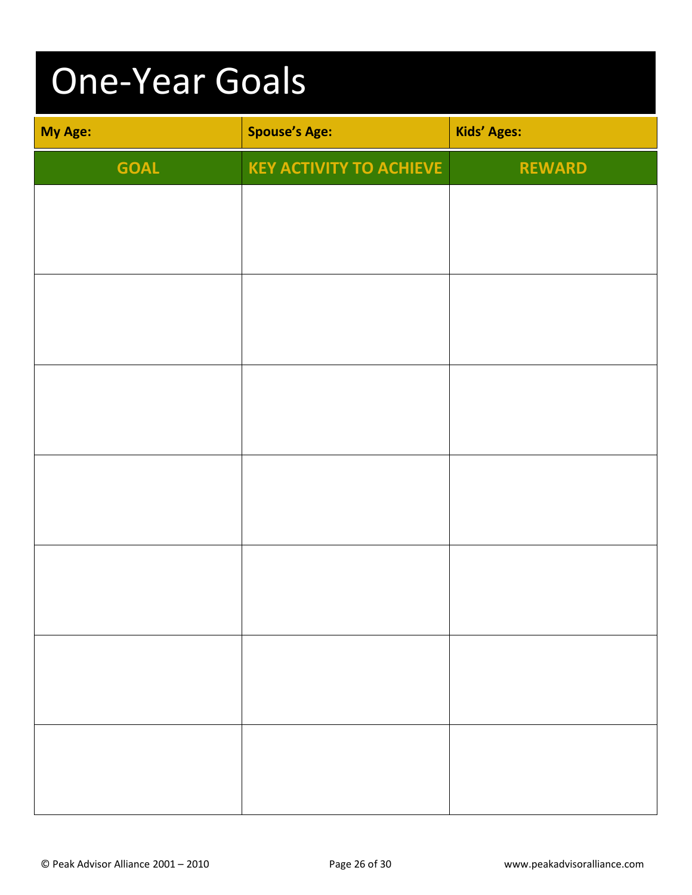# One-Year Goals

| My Age:     | <b>Spouse's Age:</b>           | <b>Kids' Ages:</b> |
|-------------|--------------------------------|--------------------|
| <b>GOAL</b> | <b>KEY ACTIVITY TO ACHIEVE</b> | <b>REWARD</b>      |
|             |                                |                    |
|             |                                |                    |
|             |                                |                    |
|             |                                |                    |
|             |                                |                    |
|             |                                |                    |
|             |                                |                    |
|             |                                |                    |
|             |                                |                    |
|             |                                |                    |
|             |                                |                    |
|             |                                |                    |
|             |                                |                    |
|             |                                |                    |
|             |                                |                    |
|             |                                |                    |
|             |                                |                    |
|             |                                |                    |
|             |                                |                    |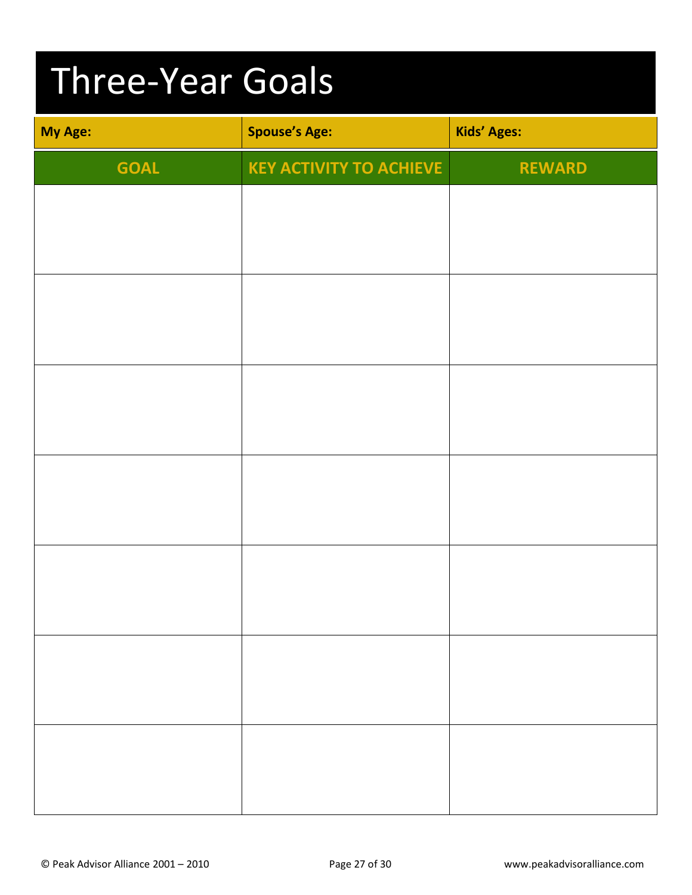# Three-Year Goals

| My Age:     | <b>Spouse's Age:</b>           | <b>Kids' Ages:</b> |
|-------------|--------------------------------|--------------------|
| <b>GOAL</b> | <b>KEY ACTIVITY TO ACHIEVE</b> | <b>REWARD</b>      |
|             |                                |                    |
|             |                                |                    |
|             |                                |                    |
|             |                                |                    |
|             |                                |                    |
|             |                                |                    |
|             |                                |                    |
|             |                                |                    |
|             |                                |                    |
|             |                                |                    |
|             |                                |                    |
|             |                                |                    |
|             |                                |                    |
|             |                                |                    |
|             |                                |                    |
|             |                                |                    |
|             |                                |                    |
|             |                                |                    |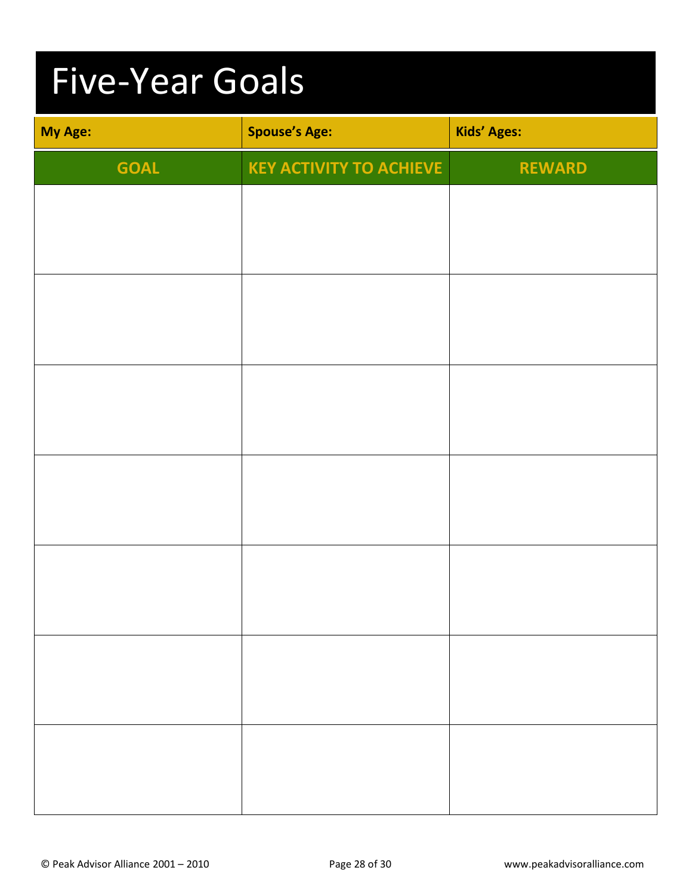# Five-Year Goals

| My Age:     | <b>Spouse's Age:</b>           | <b>Kids' Ages:</b> |
|-------------|--------------------------------|--------------------|
| <b>GOAL</b> | <b>KEY ACTIVITY TO ACHIEVE</b> | <b>REWARD</b>      |
|             |                                |                    |
|             |                                |                    |
|             |                                |                    |
|             |                                |                    |
|             |                                |                    |
|             |                                |                    |
|             |                                |                    |
|             |                                |                    |
|             |                                |                    |
|             |                                |                    |
|             |                                |                    |
|             |                                |                    |
|             |                                |                    |
|             |                                |                    |
|             |                                |                    |
|             |                                |                    |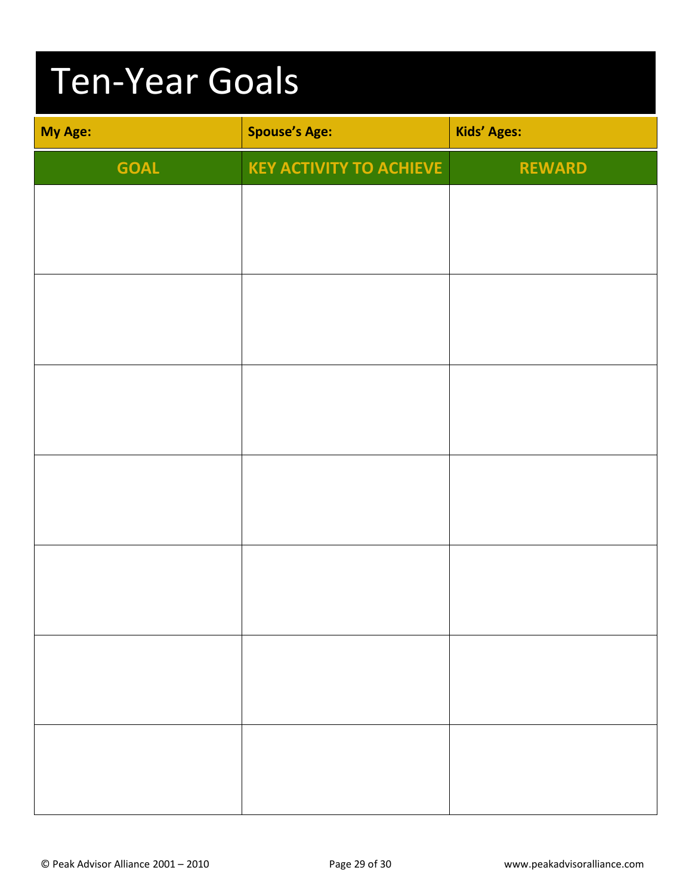# Ten-Year Goals

| My Age:     | <b>Spouse's Age:</b>           | <b>Kids' Ages:</b> |
|-------------|--------------------------------|--------------------|
| <b>GOAL</b> | <b>KEY ACTIVITY TO ACHIEVE</b> | <b>REWARD</b>      |
|             |                                |                    |
|             |                                |                    |
|             |                                |                    |
|             |                                |                    |
|             |                                |                    |
|             |                                |                    |
|             |                                |                    |
|             |                                |                    |
|             |                                |                    |
|             |                                |                    |
|             |                                |                    |
|             |                                |                    |
|             |                                |                    |
|             |                                |                    |
|             |                                |                    |
|             |                                |                    |
|             |                                |                    |